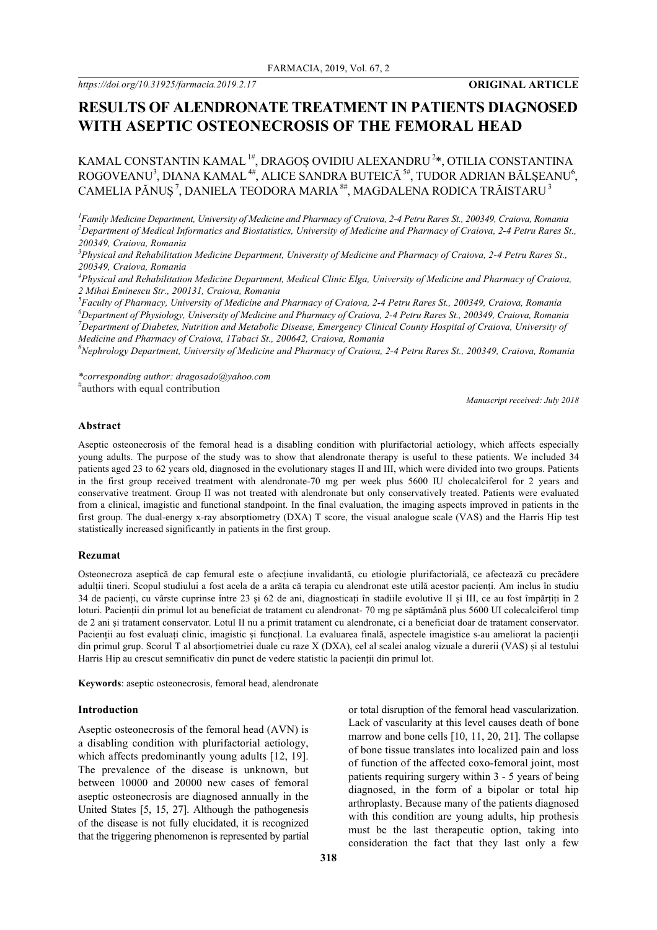# **RESULTS OF ALENDRONATE TREATMENT IN PATIENTS DIAGNOSED WITH ASEPTIC OSTEONECROSIS OF THE FEMORAL HEAD**

KAMAL CONSTANTIN KAMAL  $^\text{1#}$ , DRAGOȘ OVIDIU ALEXANDRU  $^\text{2*}$ , OTILIA CONSTANTINA ROGOVEANU<sup>3</sup>, DIANA KAMAL<sup>4#</sup>, ALICE SANDRA BUTEICĂ <sup>5#</sup>, TUDOR ADRIAN BĂLȘEANU<sup>6</sup>, CAMELIA PĂNUȘ $\,$ , DANIELA TEODORA MARIA $^{8\#},$  MAGDALENA RODICA TRĂISTARU $^3$ 

*1 Family Medicine Department, University of Medicine and Pharmacy of Craiova, 2-4 Petru Rares St., 200349, Craiova, Romania 2 Department of Medical Informatics and Biostatistics, University of Medicine and Pharmacy of Craiova, 2-4 Petru Rares St., 200349, Craiova, Romania*

*3 Physical and Rehabilitation Medicine Department, University of Medicine and Pharmacy of Craiova, 2-4 Petru Rares St., 200349, Craiova, Romania*

*4 Physical and Rehabilitation Medicine Department, Medical Clinic Elga, University of Medicine and Pharmacy of Craiova, 2 Mihai Eminescu Str., 200131, Craiova, Romania*

*5 Faculty of Pharmacy, University of Medicine and Pharmacy of Craiova, 2-4 Petru Rares St., 200349, Craiova, Romania 6 Department of Physiology, University of Medicine and Pharmacy of Craiova, 2-4 Petru Rares St., 200349, Craiova, Romania* <sup>7</sup> Department of Diabetes, Nutrition and Metabolic Disease, Emergency Clinical County Hospital of Craiova, University of *Medicine and Pharmacy of Craiova, 1Tabaci St., 200642, Craiova, Romania*

*8 Nephrology Department, University of Medicine and Pharmacy of Craiova, 2-4 Petru Rares St., 200349, Craiova, Romania*

*\*corresponding author: dragosado@yahoo.com* # authors with equal contribution

*Manuscript received: July 2018*

#### **Abstract**

Aseptic osteonecrosis of the femoral head is a disabling condition with plurifactorial aetiology, which affects especially young adults. The purpose of the study was to show that alendronate therapy is useful to these patients. We included 34 patients aged 23 to 62 years old, diagnosed in the evolutionary stages II and III, which were divided into two groups. Patients in the first group received treatment with alendronate-70 mg per week plus 5600 IU cholecalciferol for 2 years and conservative treatment. Group II was not treated with alendronate but only conservatively treated. Patients were evaluated from a clinical, imagistic and functional standpoint. In the final evaluation, the imaging aspects improved in patients in the first group. The dual-energy x-ray absorptiometry (DXA) T score, the visual analogue scale (VAS) and the Harris Hip test statistically increased significantly in patients in the first group.

# **Rezumat**

Osteonecroza aseptică de cap femural este o afecțiune invalidantă, cu etiologie plurifactorială, ce afectează cu precădere adulții tineri. Scopul studiului a fost acela de a arăta că terapia cu alendronat este utilă acestor pacienți. Am inclus în studiu 34 de pacienți, cu vârste cuprinse între 23 și 62 de ani, diagnosticați în stadiile evolutive II și III, ce au fost împărțiți în 2 loturi. Pacienții din primul lot au beneficiat de tratament cu alendronat- 70 mg pe săptămână plus 5600 UI colecalciferol timp de 2 ani și tratament conservator. Lotul II nu a primit tratament cu alendronate, ci a beneficiat doar de tratament conservator. Pacienții au fost evaluați clinic, imagistic și funcțional. La evaluarea finală, aspectele imagistice s-au ameliorat la pacienții din primul grup. Scorul T al absorțiometriei duale cu raze X (DXA), cel al scalei analog vizuale a durerii (VAS) și al testului Harris Hip au crescut semnificativ din punct de vedere statistic la pacienții din primul lot.

**Keywords**: aseptic osteonecrosis, femoral head, alendronate

#### **Introduction**

Aseptic osteonecrosis of the femoral head (AVN) is a disabling condition with plurifactorial aetiology, which affects predominantly young adults [12, 19]. The prevalence of the disease is unknown, but between 10000 and 20000 new cases of femoral aseptic osteonecrosis are diagnosed annually in the United States [5, 15, 27]. Although the pathogenesis of the disease is not fully elucidated, it is recognized that the triggering phenomenon is represented by partial or total disruption of the femoral head vascularization. Lack of vascularity at this level causes death of bone marrow and bone cells [10, 11, 20, 21]. The collapse of bone tissue translates into localized pain and loss of function of the affected coxo-femoral joint, most patients requiring surgery within 3 - 5 years of being diagnosed, in the form of a bipolar or total hip arthroplasty. Because many of the patients diagnosed with this condition are young adults, hip prothesis must be the last therapeutic option, taking into consideration the fact that they last only a few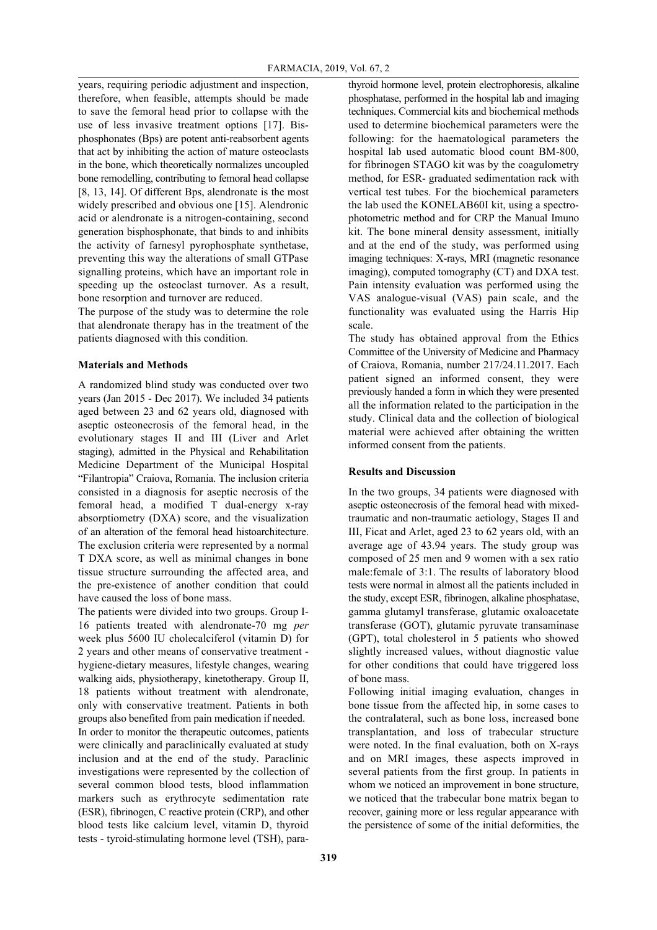years, requiring periodic adjustment and inspection, therefore, when feasible, attempts should be made to save the femoral head prior to collapse with the use of less invasive treatment options [17]. Bisphosphonates (Bps) are potent anti-reabsorbent agents that act by inhibiting the action of mature osteoclasts in the bone, which theoretically normalizes uncoupled bone remodelling, contributing to femoral head collapse [8, 13, 14]. Of different Bps, alendronate is the most widely prescribed and obvious one [15]. Alendronic acid or alendronate is a nitrogen-containing, second generation bisphosphonate, that binds to and inhibits the activity of farnesyl pyrophosphate synthetase, preventing this way the alterations of small GTPase signalling proteins, which have an important role in speeding up the osteoclast turnover. As a result, bone resorption and turnover are reduced.

The purpose of the study was to determine the role that alendronate therapy has in the treatment of the patients diagnosed with this condition.

### **Materials and Methods**

A randomized blind study was conducted over two years (Jan 2015 - Dec 2017). We included 34 patients aged between 23 and 62 years old, diagnosed with aseptic osteonecrosis of the femoral head, in the evolutionary stages II and III (Liver and Arlet staging), admitted in the Physical and Rehabilitation Medicine Department of the Municipal Hospital "Filantropia" Craiova, Romania. The inclusion criteria consisted in a diagnosis for aseptic necrosis of the femoral head, a modified T dual-energy x-ray absorptiometry (DXA) score, and the visualization of an alteration of the femoral head histoarchitecture. The exclusion criteria were represented by a normal T DXA score, as well as minimal changes in bone tissue structure surrounding the affected area, and the pre-existence of another condition that could have caused the loss of bone mass.

The patients were divided into two groups. Group I-16 patients treated with alendronate-70 mg *per* week plus 5600 IU cholecalciferol (vitamin D) for 2 years and other means of conservative treatment hygiene-dietary measures, lifestyle changes, wearing walking aids, physiotherapy, kinetotherapy. Group II, 18 patients without treatment with alendronate, only with conservative treatment. Patients in both groups also benefited from pain medication if needed. In order to monitor the therapeutic outcomes, patients were clinically and paraclinically evaluated at study inclusion and at the end of the study. Paraclinic investigations were represented by the collection of several common blood tests, blood inflammation markers such as erythrocyte sedimentation rate (ESR), fibrinogen, C reactive protein (CRP), and other blood tests like calcium level, vitamin D, thyroid tests - tyroid-stimulating hormone level (TSH), parathyroid hormone level, protein electrophoresis, alkaline phosphatase, performed in the hospital lab and imaging techniques. Commercial kits and biochemical methods used to determine biochemical parameters were the following: for the haematological parameters the hospital lab used automatic blood count BM-800, for fibrinogen STAGO kit was by the coagulometry method, for ESR- graduated sedimentation rack with vertical test tubes. For the biochemical parameters the lab used the KONELAB60I kit, using a spectrophotometric method and for CRP the Manual Imuno kit. The bone mineral density assessment, initially and at the end of the study, was performed using imaging techniques: X-rays, MRI (magnetic resonance imaging), computed tomography (CT) and DXA test. Pain intensity evaluation was performed using the VAS analogue-visual (VAS) pain scale, and the functionality was evaluated using the Harris Hip scale.

The study has obtained approval from the Ethics Committee of the University of Medicine and Pharmacy of Craiova, Romania, number 217/24.11.2017. Each patient signed an informed consent, they were previously handed a form in which they were presented all the information related to the participation in the study. Clinical data and the collection of biological material were achieved after obtaining the written informed consent from the patients.

# **Results and Discussion**

In the two groups, 34 patients were diagnosed with aseptic osteonecrosis of the femoral head with mixedtraumatic and non-traumatic aetiology, Stages II and III, Ficat and Arlet, aged 23 to 62 years old, with an average age of 43.94 years. The study group was composed of 25 men and 9 women with a sex ratio male:female of 3:1. The results of laboratory blood tests were normal in almost all the patients included in the study, except ESR, fibrinogen, alkaline phosphatase, gamma glutamyl transferase, glutamic oxaloacetate transferase (GOT), glutamic pyruvate transaminase (GPT), total cholesterol in 5 patients who showed slightly increased values, without diagnostic value for other conditions that could have triggered loss of bone mass.

Following initial imaging evaluation, changes in bone tissue from the affected hip, in some cases to the contralateral, such as bone loss, increased bone transplantation, and loss of trabecular structure were noted. In the final evaluation, both on X-rays and on MRI images, these aspects improved in several patients from the first group. In patients in whom we noticed an improvement in bone structure, we noticed that the trabecular bone matrix began to recover, gaining more or less regular appearance with the persistence of some of the initial deformities, the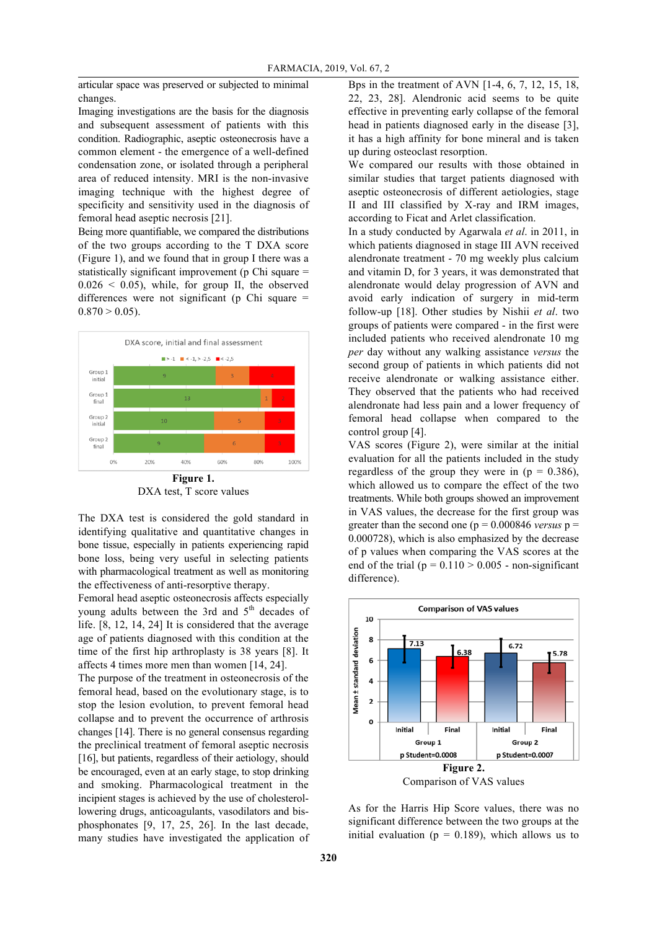articular space was preserved or subjected to minimal changes.

Imaging investigations are the basis for the diagnosis and subsequent assessment of patients with this condition. Radiographic, aseptic osteonecrosis have a common element - the emergence of a well-defined condensation zone, or isolated through a peripheral area of reduced intensity. MRI is the non-invasive imaging technique with the highest degree of specificity and sensitivity used in the diagnosis of femoral head aseptic necrosis [21].

Being more quantifiable, we compared the distributions of the two groups according to the T DXA score (Figure 1), and we found that in group I there was a statistically significant improvement (p Chi square =  $0.026 \leq 0.05$ , while, for group II, the observed differences were not significant (p Chi square  $=$  $0.870 > 0.05$ .



DXA test, T score values

The DXA test is considered the gold standard in identifying qualitative and quantitative changes in bone tissue, especially in patients experiencing rapid bone loss, being very useful in selecting patients with pharmacological treatment as well as monitoring the effectiveness of anti-resorptive therapy.

Femoral head aseptic osteonecrosis affects especially young adults between the 3rd and  $5<sup>th</sup>$  decades of life. [8, 12, 14, 24] It is considered that the average age of patients diagnosed with this condition at the time of the first hip arthroplasty is 38 years [8]. It affects 4 times more men than women [14, 24].

The purpose of the treatment in osteonecrosis of the femoral head, based on the evolutionary stage, is to stop the lesion evolution, to prevent femoral head collapse and to prevent the occurrence of arthrosis changes [14]. There is no general consensus regarding the preclinical treatment of femoral aseptic necrosis [16], but patients, regardless of their aetiology, should be encouraged, even at an early stage, to stop drinking and smoking. Pharmacological treatment in the incipient stages is achieved by the use of cholesterollowering drugs, anticoagulants, vasodilators and bisphosphonates [9, 17, 25, 26]. In the last decade, many studies have investigated the application of Bps in the treatment of AVN [1-4, 6, 7, 12, 15, 18, 22, 23, 28]. Alendronic acid seems to be quite effective in preventing early collapse of the femoral head in patients diagnosed early in the disease [3], it has a high affinity for bone mineral and is taken up during osteoclast resorption.

We compared our results with those obtained in similar studies that target patients diagnosed with aseptic osteonecrosis of different aetiologies, stage II and III classified by X-ray and IRM images, according to Ficat and Arlet classification.

In a study conducted by Agarwala *et al*. in 2011, in which patients diagnosed in stage III AVN received alendronate treatment - 70 mg weekly plus calcium and vitamin D, for 3 years, it was demonstrated that alendronate would delay progression of AVN and avoid early indication of surgery in mid-term follow-up [18]. Other studies by Nishii *et al*. two groups of patients were compared - in the first were included patients who received alendronate 10 mg *per* day without any walking assistance *versus* the second group of patients in which patients did not receive alendronate or walking assistance either. They observed that the patients who had received alendronate had less pain and a lower frequency of femoral head collapse when compared to the control group [4].

VAS scores (Figure 2), were similar at the initial evaluation for all the patients included in the study regardless of the group they were in  $(p = 0.386)$ , which allowed us to compare the effect of the two treatments. While both groups showed an improvement in VAS values, the decrease for the first group was greater than the second one ( $p = 0.000846$  *versus*  $p =$ 0.000728), which is also emphasized by the decrease of p values when comparing the VAS scores at the end of the trial ( $p = 0.110 > 0.005$  - non-significant difference).



As for the Harris Hip Score values, there was no significant difference between the two groups at the initial evaluation ( $p = 0.189$ ), which allows us to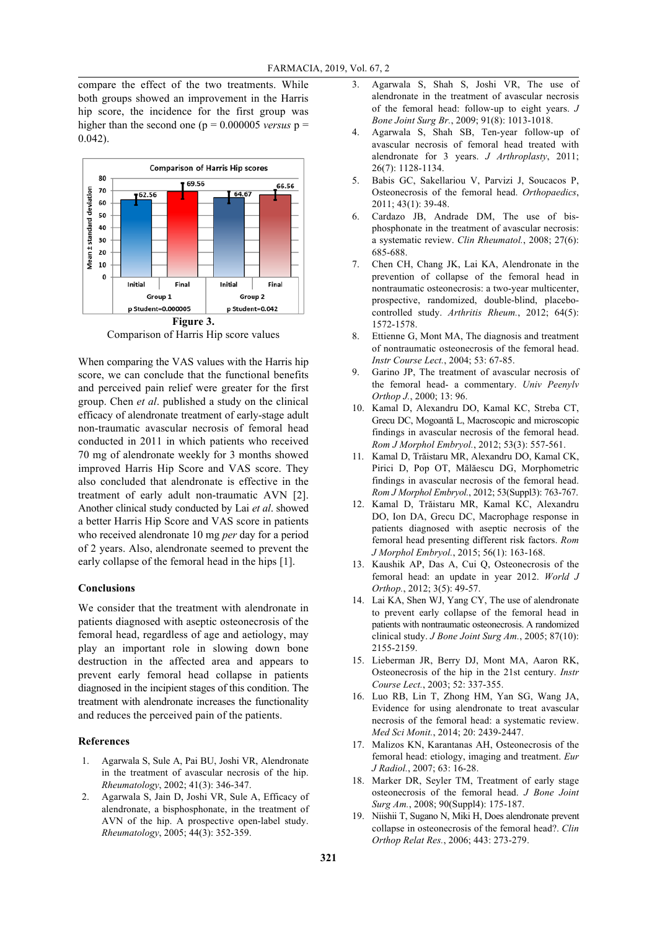compare the effect of the two treatments. While both groups showed an improvement in the Harris hip score, the incidence for the first group was higher than the second one ( $p = 0.000005$  *versus*  $p =$ 0.042).



Comparison of Harris Hip score values

When comparing the VAS values with the Harris hip score, we can conclude that the functional benefits and perceived pain relief were greater for the first group. Chen *et al*. published a study on the clinical efficacy of alendronate treatment of early-stage adult non-traumatic avascular necrosis of femoral head conducted in 2011 in which patients who received 70 mg of alendronate weekly for 3 months showed improved Harris Hip Score and VAS score. They also concluded that alendronate is effective in the treatment of early adult non-traumatic AVN [2]. Another clinical study conducted by Lai *et al*. showed a better Harris Hip Score and VAS score in patients who received alendronate 10 mg *per* day for a period of 2 years. Also, alendronate seemed to prevent the early collapse of the femoral head in the hips [1].

### **Conclusions**

We consider that the treatment with alendronate in patients diagnosed with aseptic osteonecrosis of the femoral head, regardless of age and aetiology, may play an important role in slowing down bone destruction in the affected area and appears to prevent early femoral head collapse in patients diagnosed in the incipient stages of this condition. The treatment with alendronate increases the functionality and reduces the perceived pain of the patients.

#### **References**

- 1. Agarwala S, Sule A, Pai BU, Joshi VR, Alendronate in the treatment of avascular necrosis of the hip. *Rheumatology*, 2002; 41(3): 346-347.
- 2. Agarwala S, Jain D, Joshi VR, Sule A, Efficacy of alendronate, a bisphosphonate, in the treatment of AVN of the hip. A prospective open-label study. *Rheumatology*, 2005; 44(3): 352-359.
- 3. Agarwala S, Shah S, Joshi VR, The use of alendronate in the treatment of avascular necrosis of the femoral head: follow-up to eight years. *J Bone Joint Surg Br.*, 2009; 91(8): 1013-1018.
- 4. Agarwala S, Shah SB, Ten-year follow-up of avascular necrosis of femoral head treated with alendronate for 3 years. *J Arthroplasty*, 2011; 26(7): 1128-1134.
- 5. Babis GC, Sakellariou V, Parvizi J, Soucacos P, Osteonecrosis of the femoral head. *Orthopaedics*, 2011; 43(1): 39-48.
- 6. Cardazo JB, Andrade DM, The use of bisphosphonate in the treatment of avascular necrosis: a systematic review. *Clin Rheumatol.*, 2008; 27(6): 685-688.
- 7. Chen CH, Chang JK, Lai KA, Alendronate in the prevention of collapse of the femoral head in nontraumatic osteonecrosis: a two-year multicenter, prospective, randomized, double-blind, placebocontrolled study. *Arthritis Rheum.*, 2012; 64(5): 1572-1578.
- 8. Ettienne G, Mont MA, The diagnosis and treatment of nontraumatic osteonecrosis of the femoral head. *Instr Course Lect.*, 2004; 53: 67-85.
- 9. Garino JP, The treatment of avascular necrosis of the femoral head- a commentary. *Univ Peenylv Orthop J.*, 2000; 13: 96.
- 10. Kamal D, Alexandru DO, Kamal KC, Streba CT, Grecu DC, Mogoantă L, Macroscopic and microscopic findings in avascular necrosis of the femoral head. *Rom J Morphol Embryol.*, 2012; 53(3): 557-561.
- 11. Kamal D, Trăistaru MR, Alexandru DO, Kamal CK, Pirici D, Pop OT, Mălăescu DG, Morphometric findings in avascular necrosis of the femoral head. *Rom J Morphol Embryol.*, 2012; 53(Suppl3): 763-767.
- 12. Kamal D, Trăistaru MR, Kamal KC, Alexandru DO, Ion DA, Grecu DC, Macrophage response in patients diagnosed with aseptic necrosis of the femoral head presenting different risk factors. *Rom J Morphol Embryol.*, 2015; 56(1): 163-168.
- 13. Kaushik AP, Das A, Cui Q, Osteonecrosis of the femoral head: an update in year 2012. *World J Orthop.*, 2012; 3(5): 49-57.
- 14. Lai KA, Shen WJ, Yang CY, The use of alendronate to prevent early collapse of the femoral head in patients with nontraumatic osteonecrosis. A randomized clinical study. *J Bone Joint Surg Am.*, 2005; 87(10): 2155-2159.
- 15. Lieberman JR, Berry DJ, Mont MA, Aaron RK, Osteonecrosis of the hip in the 21st century. *Instr Course Lect.*, 2003; 52: 337-355.
- 16. Luo RB, Lin T, Zhong HM, Yan SG, Wang JA, Evidence for using alendronate to treat avascular necrosis of the femoral head: a systematic review. *Med Sci Monit.*, 2014; 20: 2439-2447.
- 17. Malizos KN, Karantanas AH, Osteonecrosis of the femoral head: etiology, imaging and treatment. *Eur J Radiol.*, 2007; 63: 16-28.
- 18. Marker DR, Seyler TM, Treatment of early stage osteonecrosis of the femoral head. *J Bone Joint Surg Am.*, 2008; 90(Suppl4): 175-187.
- 19. Niishii T, Sugano N, Miki H, Does alendronate prevent collapse in osteonecrosis of the femoral head?. *Clin Orthop Relat Res.*, 2006; 443: 273-279.